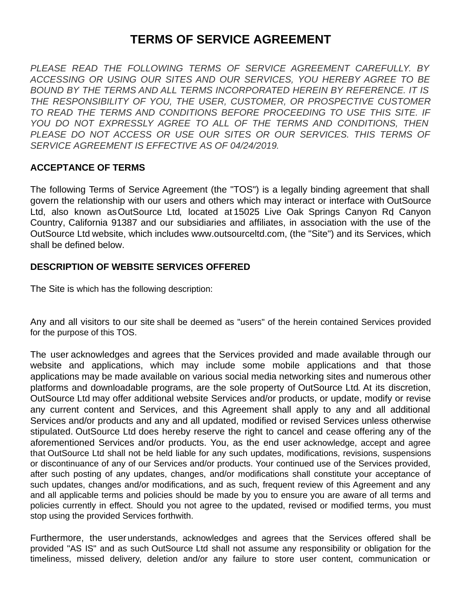# **TERMS OF SERVICE AGREEMENT**

*PLEASE READ THE FOLLOWING TERMS OF SERVICE AGREEMENT CAREFULLY. BY ACCESSING OR USING OUR SITES AND OUR SERVICES, YOU HEREBY AGREE TO BE BOUND BY THE TERMS AND ALL TERMS INCORPORATED HEREIN BY REFERENCE. IT IS THE RESPONSIBILITY OF YOU, THE USER, CUSTOMER, OR PROSPECTIVE CUSTOMER TO READ THE TERMS AND CONDITIONS BEFORE PROCEEDING TO USE THIS SITE. IF YOU DO NOT EXPRESSLY AGREE TO ALL OF THE TERMS AND CONDITIONS, THEN PLEASE DO NOT ACCESS OR USE OUR SITES OR OUR SERVICES. THIS TERMS OF SERVICE AGREEMENT IS EFFECTIVE AS OF 04/24/2019.*

#### **ACCEPTANCE OF TERMS**

The following Terms of Service Agreement (the "TOS") is a legally binding agreement that shall govern the relationship with our users and others which may interact or interface with OutSource Ltd, also known asOutSource Ltd, located at 15025 Live Oak Springs Canyon Rd, Canyon Country, California 91387 and our subsidiaries and affiliates, in association with the use of the OutSource Ltd website, which includes www.outsourceltd.com, (the "Site") and its Services, which shall be defined below.

#### **DESCRIPTION OF WEBSITE SERVICES OFFERED**

The Site is which has the following description:

Any and all visitors to our site shall be deemed as "users" of the herein contained Services provided for the purpose of this TOS.

The user acknowledges and agrees that the Services provided and made available through our website and applications, which may include some mobile applications and that those applications may be made available on various social media networking sites and numerous other platforms and downloadable programs, are the sole property of OutSource Ltd. At its discretion, OutSource Ltd may offer additional website Services and/or products, or update, modify or revise any current content and Services, and this Agreement shall apply to any and all additional Services and/or products and any and all updated, modified or revised Services unless otherwise stipulated. OutSource Ltd does hereby reserve the right to cancel and cease offering any of the aforementioned Services and/or products. You, as the end user acknowledge, accept and agree that OutSource Ltd shall not be held liable for any such updates, modifications, revisions, suspensions or discontinuance of any of our Services and/or products. Your continued use of the Services provided, after such posting of any updates, changes, and/or modifications shall constitute your acceptance of such updates, changes and/or modifications, and as such, frequent review of this Agreement and any and all applicable terms and policies should be made by you to ensure you are aware of all terms and policies currently in effect. Should you not agree to the updated, revised or modified terms, you must stop using the provided Services forthwith.

Furthermore, the user understands, acknowledges and agrees that the Services offered shall be provided "AS IS" and as such OutSource Ltd shall not assume any responsibility or obligation for the timeliness, missed delivery, deletion and/or any failure to store user content, communication or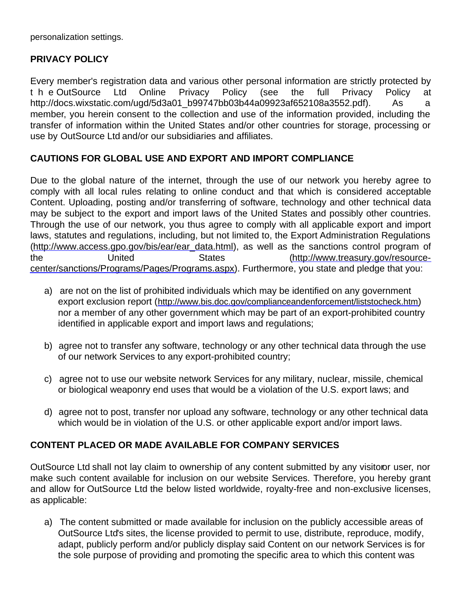personalization settings.

# **PRIVACY POLICY**

Every member's registration data and various other personal information are strictly protected by t h e OutSource Ltd Online Privacy Policy (see the full Privacy Policy at http://docs.wixstatic.com/ugd/5d3a01\_b99747bb03b44a09923af652108a3552.pdf). As a member, you herein consent to the collection and use of the information provided, including the transfer of information within the United States and/or other countries for storage, processing or use by OutSource Ltd and/or our subsidiaries and affiliates.

# **CAUTIONS FOR GLOBAL USE AND EXPORT AND IMPORT COMPLIANCE**

Due to the global nature of the internet, through the use of our network you hereby agree to comply with all local rules relating to online conduct and that which is considered acceptable Content. Uploading, posting and/or transferring of software, technology and other technical data may be subject to the export and import laws of the United States and possibly other countries. Through the use of our network, you thus agree to comply with all applicable export and import laws, statutes and regulations, including, but not limited to, the Export Administration Regulations [\(http://www.access.gpo.gov/bis/ear/ear\\_data.html](http://www.access.gpo.gov/bis/ear/ear_data.html)), as well as the sanctions control program of the United States (http://www.treasury.gov/resource[center/sanctions/Programs/Pages/Programs.aspx\).](http://www.treasury.gov/resource-center/sanctions/Programs/Pages/Programs.aspx) Furthermore, you state and pledge that you:

- a) are not on the list of prohibited individuals which may be identified on any government export exclusion report (<http://www.bis.doc.gov/complianceandenforcement/liststocheck.htm>) nor a member of any other government which may be part of an export-prohibited country identified in applicable export and import laws and regulations;
- b) agree not to transfer any software, technology or any other technical data through the use of our network Services to any export-prohibited country;
- c) agree not to use our website network Services for any military, nuclear, missile, chemical or biological weaponry end uses that would be a violation of the U.S. export laws; and
- d) agree not to post, transfer nor upload any software, technology or any other technical data which would be in violation of the U.S. or other applicable export and/or import laws.

# **CONTENT PLACED OR MADE AVAILABLE FOR COMPANY SERVICES**

OutSource Ltd shall not lay claim to ownership of any content submitted by any visitoror user, nor make such content available for inclusion on our website Services. Therefore, you hereby grant and allow for OutSource Ltd the below listed worldwide, royalty-free and non-exclusive licenses, as applicable:

a) The content submitted or made available for inclusion on the publicly accessible areas of OutSource Ltd's sites, the license provided to permit to use, distribute, reproduce, modify, adapt, publicly perform and/or publicly display said Content on our network Services is for the sole purpose of providing and promoting the specific area to which this content was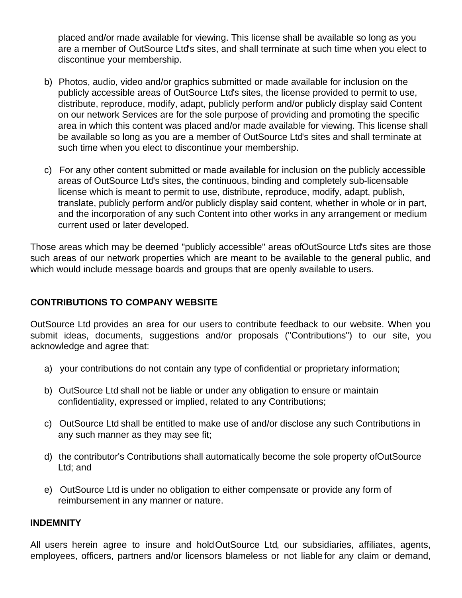placed and/or made available for viewing. This license shall be available so long as you are a member of OutSource Ltd's sites, and shall terminate at such time when you elect to discontinue your membership.

- b) Photos, audio, video and/or graphics submitted or made available for inclusion on the publicly accessible areas of OutSource Ltd's sites, the license provided to permit to use, distribute, reproduce, modify, adapt, publicly perform and/or publicly display said Content on our network Services are for the sole purpose of providing and promoting the specific area in which this content was placed and/or made available for viewing. This license shall be available so long as you are a member of OutSource Ltd's sites and shall terminate at such time when you elect to discontinue your membership.
- c) For any other content submitted or made available for inclusion on the publicly accessible areas of OutSource Ltd's sites, the continuous, binding and completely sub-licensable license which is meant to permit to use, distribute, reproduce, modify, adapt, publish, translate, publicly perform and/or publicly display said content, whether in whole or in part, and the incorporation of any such Content into other works in any arrangement or medium current used or later developed.

Those areas which may be deemed "publicly accessible" areas ofOutSource Ltd's sites are those such areas of our network properties which are meant to be available to the general public, and which would include message boards and groups that are openly available to users.

# **CONTRIBUTIONS TO COMPANY WEBSITE**

OutSource Ltd provides an area for our users to contribute feedback to our website. When you submit ideas, documents, suggestions and/or proposals ("Contributions") to our site, you acknowledge and agree that:

- a) your contributions do not contain any type of confidential or proprietary information;
- b) OutSource Ltd shall not be liable or under any obligation to ensure or maintain confidentiality, expressed or implied, related to any Contributions;
- c) OutSource Ltd shall be entitled to make use of and/or disclose any such Contributions in any such manner as they may see fit;
- d) the contributor's Contributions shall automatically become the sole property ofOutSource Ltd; and
- e) OutSource Ltd is under no obligation to either compensate or provide any form of reimbursement in any manner or nature.

#### **INDEMNITY**

All users herein agree to insure and holdOutSource Ltd, our subsidiaries, affiliates, agents, employees, officers, partners and/or licensors blameless or not liable for any claim or demand,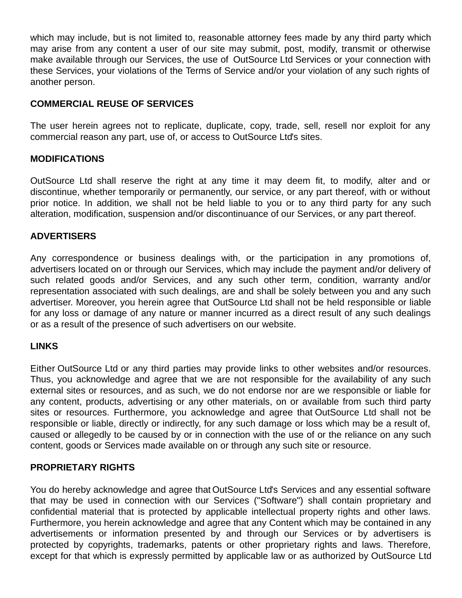which may include, but is not limited to, reasonable attorney fees made by any third party which may arise from any content a user of our site may submit, post, modify, transmit or otherwise make available through our Services, the use of OutSource Ltd Services or your connection with these Services, your violations of the Terms of Service and/or your violation of any such rights of another person.

# **COMMERCIAL REUSE OF SERVICES**

The user herein agrees not to replicate, duplicate, copy, trade, sell, resell nor exploit for any commercial reason any part, use of, or access to OutSource Ltd's sites.

# **MODIFICATIONS**

OutSource Ltd shall reserve the right at any time it may deem fit, to modify, alter and or discontinue, whether temporarily or permanently, our service, or any part thereof, with or without prior notice. In addition, we shall not be held liable to you or to any third party for any such alteration, modification, suspension and/or discontinuance of our Services, or any part thereof.

# **ADVERTISERS**

Any correspondence or business dealings with, or the participation in any promotions of, advertisers located on or through our Services, which may include the payment and/or delivery of such related goods and/or Services, and any such other term, condition, warranty and/or representation associated with such dealings, are and shall be solely between you and any such advertiser. Moreover, you herein agree that OutSource Ltd shall not be held responsible or liable for any loss or damage of any nature or manner incurred as a direct result of any such dealings or as a result of the presence of such advertisers on our website.

# **LINKS**

Either OutSource Ltd or any third parties may provide links to other websites and/or resources. Thus, you acknowledge and agree that we are not responsible for the availability of any such external sites or resources, and as such, we do not endorse nor are we responsible or liable for any content, products, advertising or any other materials, on or available from such third party sites or resources. Furthermore, you acknowledge and agree that OutSource Ltd shall not be responsible or liable, directly or indirectly, for any such damage or loss which may be a result of, caused or allegedly to be caused by or in connection with the use of or the reliance on any such content, goods or Services made available on or through any such site or resource.

# **PROPRIETARY RIGHTS**

You do hereby acknowledge and agree that OutSource Ltd's Services and any essential software that may be used in connection with our Services ("Software") shall contain proprietary and confidential material that is protected by applicable intellectual property rights and other laws. Furthermore, you herein acknowledge and agree that any Content which may be contained in any advertisements or information presented by and through our Services or by advertisers is protected by copyrights, trademarks, patents or other proprietary rights and laws. Therefore, except for that which is expressly permitted by applicable law or as authorized by OutSource Ltd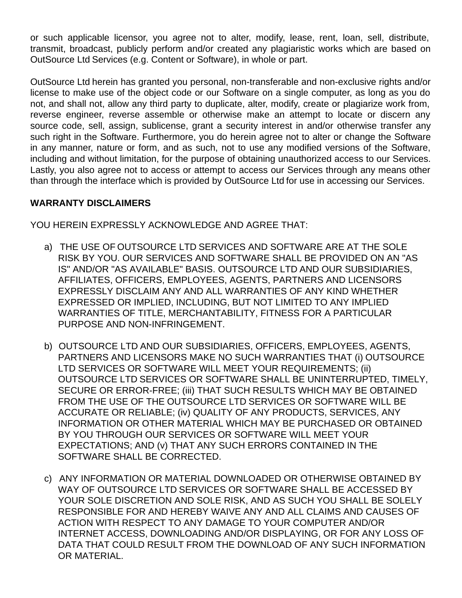or such applicable licensor, you agree not to alter, modify, lease, rent, loan, sell, distribute, transmit, broadcast, publicly perform and/or created any plagiaristic works which are based on OutSource Ltd Services (e.g. Content or Software), in whole or part.

OutSource Ltd herein has granted you personal, non-transferable and non-exclusive rights and/or license to make use of the object code or our Software on a single computer, as long as you do not, and shall not, allow any third party to duplicate, alter, modify, create or plagiarize work from, reverse engineer, reverse assemble or otherwise make an attempt to locate or discern any source code, sell, assign, sublicense, grant a security interest in and/or otherwise transfer any such right in the Software. Furthermore, you do herein agree not to alter or change the Software in any manner, nature or form, and as such, not to use any modified versions of the Software, including and without limitation, for the purpose of obtaining unauthorized access to our Services. Lastly, you also agree not to access or attempt to access our Services through any means other than through the interface which is provided by OutSource Ltd for use in accessing our Services.

# **WARRANTY DISCLAIMERS**

YOU HEREIN EXPRESSLY ACKNOWLEDGE AND AGREE THAT:

- a) THE USE OF OUTSOURCE LTD SERVICES AND SOFTWARE ARE AT THE SOLE RISK BY YOU. OUR SERVICES AND SOFTWARE SHALL BE PROVIDED ON AN "AS IS" AND/OR "AS AVAILABLE" BASIS. OUTSOURCE LTD AND OUR SUBSIDIARIES, AFFILIATES, OFFICERS, EMPLOYEES, AGENTS, PARTNERS AND LICENSORS EXPRESSLY DISCLAIM ANY AND ALL WARRANTIES OF ANY KIND WHETHER EXPRESSED OR IMPLIED, INCLUDING, BUT NOT LIMITED TO ANY IMPLIED WARRANTIES OF TITLE, MERCHANTABILITY, FITNESS FOR A PARTICULAR PURPOSE AND NON-INFRINGEMENT.
- b) OUTSOURCE LTD AND OUR SUBSIDIARIES, OFFICERS, EMPLOYEES, AGENTS, PARTNERS AND LICENSORS MAKE NO SUCH WARRANTIES THAT (i) OUTSOURCE LTD SERVICES OR SOFTWARE WILL MEET YOUR REQUIREMENTS; (ii) OUTSOURCE LTD SERVICES OR SOFTWARE SHALL BE UNINTERRUPTED, TIMELY, SECURE OR ERROR-FREE; (iii) THAT SUCH RESULTS WHICH MAY BE OBTAINED FROM THE USE OF THE OUTSOURCE LTD SERVICES OR SOFTWARE WILL BE ACCURATE OR RELIABLE; (iv) QUALITY OF ANY PRODUCTS, SERVICES, ANY INFORMATION OR OTHER MATERIAL WHICH MAY BE PURCHASED OR OBTAINED BY YOU THROUGH OUR SERVICES OR SOFTWARE WILL MEET YOUR EXPECTATIONS; AND (v) THAT ANY SUCH ERRORS CONTAINED IN THE SOFTWARE SHALL BE CORRECTED.
- c) ANY INFORMATION OR MATERIAL DOWNLOADED OR OTHERWISE OBTAINED BY WAY OF OUTSOURCE LTD SERVICES OR SOFTWARE SHALL BE ACCESSED BY YOUR SOLE DISCRETION AND SOLE RISK, AND AS SUCH YOU SHALL BE SOLELY RESPONSIBLE FOR AND HEREBY WAIVE ANY AND ALL CLAIMS AND CAUSES OF ACTION WITH RESPECT TO ANY DAMAGE TO YOUR COMPUTER AND/OR INTERNET ACCESS, DOWNLOADING AND/OR DISPLAYING, OR FOR ANY LOSS OF DATA THAT COULD RESULT FROM THE DOWNLOAD OF ANY SUCH INFORMATION OR MATERIAL.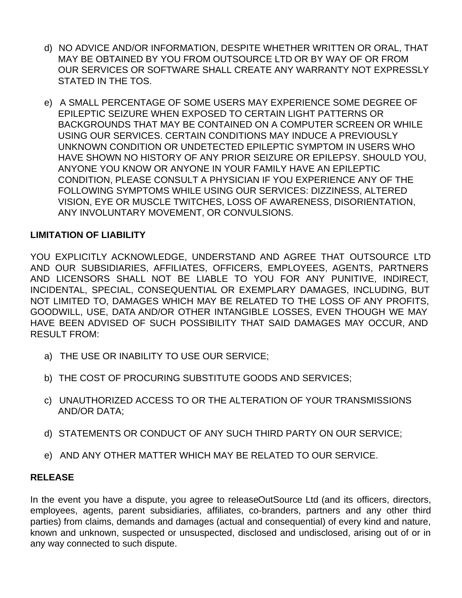- d) NO ADVICE AND/OR INFORMATION, DESPITE WHETHER WRITTEN OR ORAL, THAT MAY BE OBTAINED BY YOU FROM OUTSOURCE LTD OR BY WAY OF OR FROM OUR SERVICES OR SOFTWARE SHALL CREATE ANY WARRANTY NOT EXPRESSLY STATED IN THE TOS.
- e) A SMALL PERCENTAGE OF SOME USERS MAY EXPERIENCE SOME DEGREE OF EPILEPTIC SEIZURE WHEN EXPOSED TO CERTAIN LIGHT PATTERNS OR BACKGROUNDS THAT MAY BE CONTAINED ON A COMPUTER SCREEN OR WHILE USING OUR SERVICES. CERTAIN CONDITIONS MAY INDUCE A PREVIOUSLY UNKNOWN CONDITION OR UNDETECTED EPILEPTIC SYMPTOM IN USERS WHO HAVE SHOWN NO HISTORY OF ANY PRIOR SEIZURE OR EPILEPSY. SHOULD YOU, ANYONE YOU KNOW OR ANYONE IN YOUR FAMILY HAVE AN EPILEPTIC CONDITION, PLEASE CONSULT A PHYSICIAN IF YOU EXPERIENCE ANY OF THE FOLLOWING SYMPTOMS WHILE USING OUR SERVICES: DIZZINESS, ALTERED VISION, EYE OR MUSCLE TWITCHES, LOSS OF AWARENESS, DISORIENTATION, ANY INVOLUNTARY MOVEMENT, OR CONVULSIONS.

# **LIMITATION OF LIABILITY**

YOU EXPLICITLY ACKNOWLEDGE, UNDERSTAND AND AGREE THAT OUTSOURCE LTD AND OUR SUBSIDIARIES, AFFILIATES, OFFICERS, EMPLOYEES, AGENTS, PARTNERS AND LICENSORS SHALL NOT BE LIABLE TO YOU FOR ANY PUNITIVE, INDIRECT, INCIDENTAL, SPECIAL, CONSEQUENTIAL OR EXEMPLARY DAMAGES, INCLUDING, BUT NOT LIMITED TO, DAMAGES WHICH MAY BE RELATED TO THE LOSS OF ANY PROFITS, GOODWILL, USE, DATA AND/OR OTHER INTANGIBLE LOSSES, EVEN THOUGH WE MAY HAVE BEEN ADVISED OF SUCH POSSIBILITY THAT SAID DAMAGES MAY OCCUR, AND RESULT FROM:

- a) THE USE OR INABILITY TO USE OUR SERVICE;
- b) THE COST OF PROCURING SUBSTITUTE GOODS AND SERVICES;
- c) UNAUTHORIZED ACCESS TO OR THE ALTERATION OF YOUR TRANSMISSIONS AND/OR DATA;
- d) STATEMENTS OR CONDUCT OF ANY SUCH THIRD PARTY ON OUR SERVICE;
- e) AND ANY OTHER MATTER WHICH MAY BE RELATED TO OUR SERVICE.

#### **RELEASE**

In the event you have a dispute, you agree to releaseOutSource Ltd (and its officers, directors, employees, agents, parent subsidiaries, affiliates, co-branders, partners and any other third parties) from claims, demands and damages (actual and consequential) of every kind and nature, known and unknown, suspected or unsuspected, disclosed and undisclosed, arising out of or in any way connected to such dispute.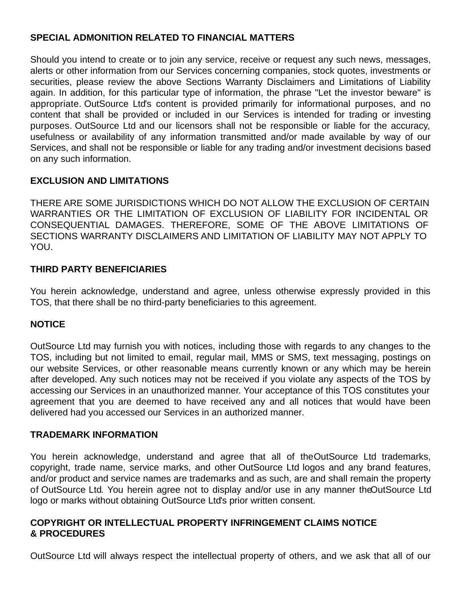### **SPECIAL ADMONITION RELATED TO FINANCIAL MATTERS**

Should you intend to create or to join any service, receive or request any such news, messages, alerts or other information from our Services concerning companies, stock quotes, investments or securities, please review the above Sections Warranty Disclaimers and Limitations of Liability again. In addition, for this particular type of information, the phrase "Let the investor beware" is appropriate. OutSource Ltd's content is provided primarily for informational purposes, and no content that shall be provided or included in our Services is intended for trading or investing purposes. OutSource Ltd and our licensors shall not be responsible or liable for the accuracy, usefulness or availability of any information transmitted and/or made available by way of our Services, and shall not be responsible or liable for any trading and/or investment decisions based on any such information.

# **EXCLUSION AND LIMITATIONS**

THERE ARE SOME JURISDICTIONS WHICH DO NOT ALLOW THE EXCLUSION OF CERTAIN WARRANTIES OR THE LIMITATION OF EXCLUSION OF LIABILITY FOR INCIDENTAL OR CONSEQUENTIAL DAMAGES. THEREFORE, SOME OF THE ABOVE LIMITATIONS OF SECTIONS WARRANTY DISCLAIMERS AND LIMITATION OF LIABILITY MAY NOT APPLY TO YOU.

# **THIRD PARTY BENEFICIARIES**

You herein acknowledge, understand and agree, unless otherwise expressly provided in this TOS, that there shall be no third-party beneficiaries to this agreement.

#### **NOTICE**

OutSource Ltd may furnish you with notices, including those with regards to any changes to the TOS, including but not limited to email, regular mail, MMS or SMS, text messaging, postings on our website Services, or other reasonable means currently known or any which may be herein after developed. Any such notices may not be received if you violate any aspects of the TOS by accessing our Services in an unauthorized manner. Your acceptance of this TOS constitutes your agreement that you are deemed to have received any and all notices that would have been delivered had you accessed our Services in an authorized manner.

#### **TRADEMARK INFORMATION**

You herein acknowledge, understand and agree that all of theOutSource Ltd trademarks, copyright, trade name, service marks, and other OutSource Ltd logos and any brand features, and/or product and service names are trademarks and as such, are and shall remain the property of OutSource Ltd. You herein agree not to display and/or use in any manner theOutSource Ltd logo or marks without obtaining OutSource Ltd's prior written consent.

#### **COPYRIGHT OR INTELLECTUAL PROPERTY INFRINGEMENT CLAIMS NOTICE & PROCEDURES**

OutSource Ltd will always respect the intellectual property of others, and we ask that all of our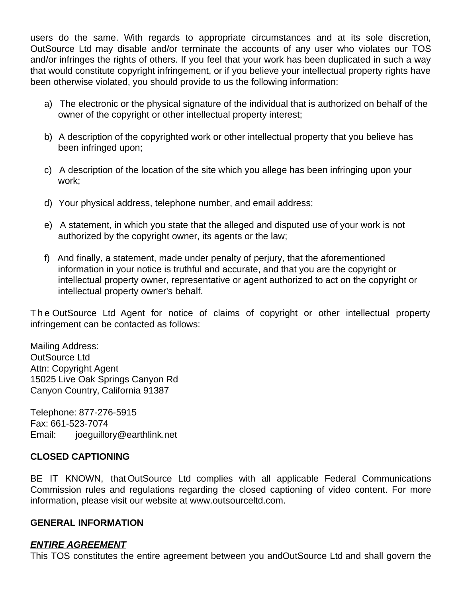users do the same. With regards to appropriate circumstances and at its sole discretion, OutSource Ltd may disable and/or terminate the accounts of any user who violates our TOS and/or infringes the rights of others. If you feel that your work has been duplicated in such a way that would constitute copyright infringement, or if you believe your intellectual property rights have been otherwise violated, you should provide to us the following information:

- a) The electronic or the physical signature of the individual that is authorized on behalf of the owner of the copyright or other intellectual property interest;
- b) A description of the copyrighted work or other intellectual property that you believe has been infringed upon;
- c) A description of the location of the site which you allege has been infringing upon your work;
- d) Your physical address, telephone number, and email address;
- e) A statement, in which you state that the alleged and disputed use of your work is not authorized by the copyright owner, its agents or the law;
- f) And finally, a statement, made under penalty of perjury, that the aforementioned information in your notice is truthful and accurate, and that you are the copyright or intellectual property owner, representative or agent authorized to act on the copyright or intellectual property owner's behalf.

The OutSource Ltd Agent for notice of claims of copyright or other intellectual property infringement can be contacted as follows:

Mailing Address: OutSource Ltd Attn: Copyright Agent 15025 Live Oak Springs Canyon Rd Canyon Country, California 91387

Telephone: 877-276-5915 Fax: 661-523-7074 Email: joeguillory@earthlink.net

# **CLOSED CAPTIONING**

BE IT KNOWN, that OutSource Ltd complies with all applicable Federal Communications Commission rules and regulations regarding the closed captioning of video content. For more information, please visit our website at www.outsourceltd.com.

#### **GENERAL INFORMATION**

#### *ENTIRE AGREEMENT*

This TOS constitutes the entire agreement between you andOutSource Ltd and shall govern the